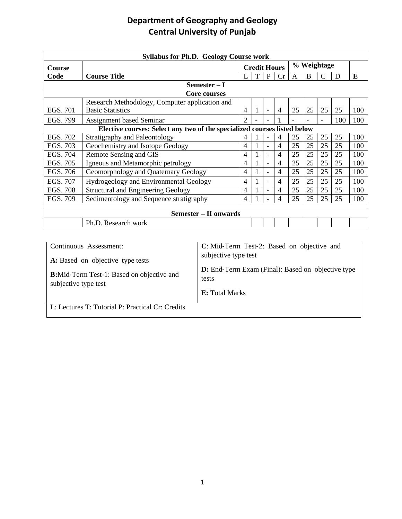| <b>Syllabus for Ph.D. Geology Course work</b>                            |                                                |                     |   |                          |                |    |    |    |     |     |  |
|--------------------------------------------------------------------------|------------------------------------------------|---------------------|---|--------------------------|----------------|----|----|----|-----|-----|--|
| Course                                                                   |                                                | <b>Credit Hours</b> |   |                          | % Weightage    |    |    |    |     |     |  |
| Code                                                                     | <b>Course Title</b>                            |                     | T | P                        | Cr             | A  | B  |    | D   | E   |  |
| Semester – I                                                             |                                                |                     |   |                          |                |    |    |    |     |     |  |
| Core courses                                                             |                                                |                     |   |                          |                |    |    |    |     |     |  |
|                                                                          | Research Methodology, Computer application and |                     |   |                          |                |    |    |    |     |     |  |
| EGS. 701                                                                 | <b>Basic Statistics</b>                        | $\overline{4}$      | 1 |                          | $\overline{4}$ | 25 | 25 | 25 | 25  | 100 |  |
| EGS. 799                                                                 | Assignment based Seminar                       | $\mathcal{D}$       |   |                          |                |    |    |    | 100 | 100 |  |
| Elective courses: Select any two of the specialized courses listed below |                                                |                     |   |                          |                |    |    |    |     |     |  |
| EGS. 702                                                                 | Stratigraphy and Paleontology                  | $\overline{4}$      |   |                          | 4              | 25 | 25 | 25 | 25  | 100 |  |
| EGS. 703                                                                 | Geochemistry and Isotope Geology               | $\overline{4}$      | 1 | $\overline{\phantom{0}}$ | 4              | 25 | 25 | 25 | 25  | 100 |  |
| EGS. 704                                                                 | Remote Sensing and GIS                         | $\overline{4}$      |   |                          | $\overline{4}$ | 25 | 25 | 25 | 25  | 100 |  |
| EGS. 705                                                                 | Igneous and Metamorphic petrology              | $\overline{4}$      |   |                          | 4              | 25 | 25 | 25 | 25  | 100 |  |
| EGS. 706                                                                 | Geomorphology and Quaternary Geology           | $\overline{4}$      |   |                          | 4              | 25 | 25 | 25 | 25  | 100 |  |
| EGS. 707                                                                 | Hydrogeology and Environmental Geology         | $\overline{4}$      |   |                          | 4              | 25 | 25 | 25 | 25  | 100 |  |
| <b>EGS. 708</b>                                                          | <b>Structural and Engineering Geology</b>      | 4                   |   |                          | 4              | 25 | 25 | 25 | 25  | 100 |  |
| EGS. 709                                                                 | Sedimentology and Sequence stratigraphy        | $\overline{4}$      |   |                          | 4              | 25 | 25 | 25 | 25  | 100 |  |
|                                                                          |                                                |                     |   |                          |                |    |    |    |     |     |  |
|                                                                          | <b>Semester – II onwards</b>                   |                     |   |                          |                |    |    |    |     |     |  |
|                                                                          | Ph.D. Research work                            |                     |   |                          |                |    |    |    |     |     |  |

| Continuous Assessment:                                                    | C: Mid-Term Test-2: Based on objective and                        |
|---------------------------------------------------------------------------|-------------------------------------------------------------------|
| A: Based on objective type tests                                          | subjective type test                                              |
| <b>B:</b> Mid-Term Test-1: Based on objective and<br>subjective type test | <b>D:</b> End-Term Exam (Final): Based on objective type<br>tests |
|                                                                           | <b>E:</b> Total Marks                                             |
| L: Lectures T: Tutorial P: Practical Cr: Credits                          |                                                                   |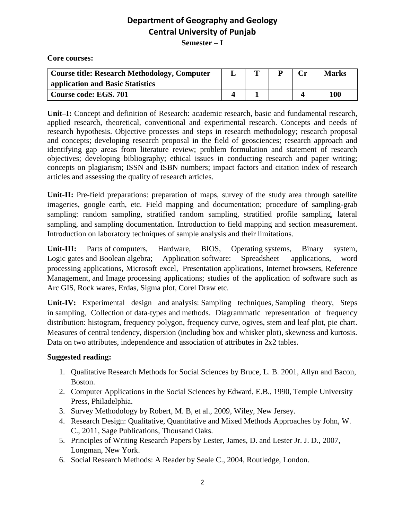**Core courses:**

| <b>Course title: Research Methodology, Computer</b> | m |  | <b>Marks</b> |
|-----------------------------------------------------|---|--|--------------|
| application and Basic Statistics                    |   |  |              |
| Course code: EGS. 701                               |   |  | 100          |

**Unit–I:** Concept and definition of Research: academic research, basic and fundamental research, applied research, theoretical, conventional and experimental research. Concepts and needs of research hypothesis. Objective processes and steps in research methodology; research proposal and concepts; developing research proposal in the field of geosciences; research approach and identifying gap areas from literature review; problem formulation and statement of research objectives; developing bibliography; ethical issues in conducting research and paper writing; concepts on plagiarism; ISSN and ISBN numbers; impact factors and citation index of research articles and assessing the quality of research articles.

**Unit-II:** Pre-field preparations: preparation of maps, survey of the study area through satellite imageries, google earth, etc. Field mapping and documentation; procedure of sampling-grab sampling: random sampling, stratified random sampling, stratified profile sampling, lateral sampling, and sampling documentation. Introduction to field mapping and section measurement. Introduction on laboratory techniques of sample analysis and their limitations.

**Unit-III:** Parts of computers, Hardware, BIOS, Operating systems, Binary system, Logic gates and Boolean algebra; Application software: Spreadsheet applications, word processing applications, Microsoft excel, Presentation applications, Internet browsers, Reference Management, and Image processing applications; studies of the application of software such as Arc GIS, Rock wares, Erdas, Sigma plot, Corel Draw etc.

**Unit-IV:** Experimental design and analysis: Sampling techniques, Sampling theory, Steps in sampling, Collection of data-types and methods. Diagrammatic representation of frequency distribution: histogram, frequency polygon, frequency curve, ogives, stem and leaf plot, pie chart. Measures of central tendency, dispersion (including box and whisker plot), skewness and kurtosis. Data on two attributes, independence and association of attributes in 2x2 tables.

- 1. Qualitative Research Methods for Social Sciences by Bruce, L. B. 2001, Allyn and Bacon, Boston.
- 2. Computer Applications in the Social Sciences by Edward, E.B., 1990, Temple University Press, Philadelphia.
- 3. Survey Methodology by Robert, M. B, et al., 2009, Wiley, New Jersey.
- 4. Research Design: Qualitative, Quantitative and Mixed Methods Approaches by John, W. C., 2011, Sage Publications, Thousand Oaks.
- 5. Principles of Writing Research Papers by Lester, James, D. and Lester Jr. J. D., 2007, Longman, New York.
- 6. Social Research Methods: A Reader by Seale C., 2004, Routledge, London.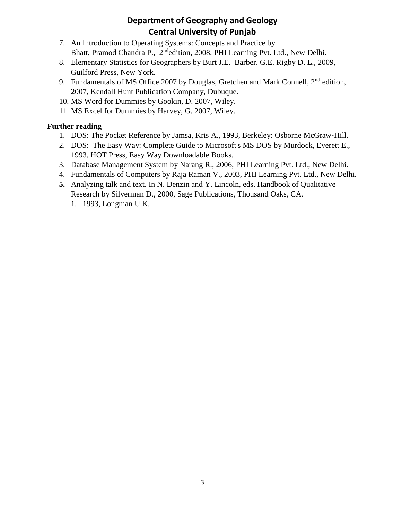- 7. An Introduction to Operating Systems: Concepts and Practice by Bhatt, Pramod Chandra P., 2<sup>nd</sup>edition, 2008, PHI Learning Pvt. Ltd., New Delhi.
- 8. Elementary Statistics for Geographers by Burt J.E. Barber. G.E. Rigby D. L., 2009, Guilford Press, New York.
- 9. Fundamentals of MS Office 2007 by Douglas, Gretchen and Mark Connell,  $2<sup>nd</sup>$  edition, 2007, Kendall Hunt Publication Company, Dubuque.
- 10. MS Word for Dummies by Gookin, D. 2007, Wiley.
- 11. MS Excel for Dummies by Harvey, G. 2007, Wiley.

### **Further reading**

- 1. DOS: The Pocket Reference by Jamsa, Kris A., 1993, Berkeley: Osborne McGraw‐Hill.
- 2. DOS: The Easy Way: Complete Guide to Microsoft's MS DOS by Murdock, Everett E., 1993, HOT Press, Easy Way Downloadable Books.
- 3. Database Management System by Narang R., 2006, PHI Learning Pvt. Ltd., New Delhi.
- 4. Fundamentals of Computers by Raja Raman V., 2003, PHI Learning Pvt. Ltd., New Delhi.
- **5.** Analyzing talk and text. In N. Denzin and Y. Lincoln, eds. Handbook of Qualitative Research by Silverman D., 2000, Sage Publications, Thousand Oaks, CA.
	- 1. 1993, Longman U.K.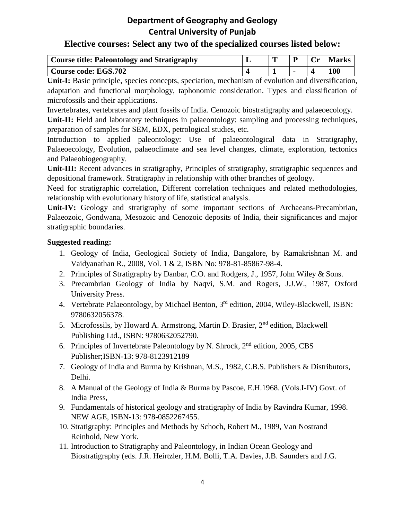### **Elective courses: Select any two of the specialized courses listed below:**

| <b>Course title: Paleontology and Stratigraphy</b> | œ |  | <b>Marks</b> |
|----------------------------------------------------|---|--|--------------|
| <b>Course code: EGS.702</b>                        |   |  | 100          |

**Unit-I:** Basic principle, species concepts, speciation, mechanism of evolution and diversification, adaptation and functional morphology, taphonomic consideration. Types and classification of microfossils and their applications.

Invertebrates, vertebrates and plant fossils of India. Cenozoic biostratigraphy and palaeoecology.

**Unit-II:** Field and laboratory techniques in palaeontology: sampling and processing techniques, preparation of samples for SEM, EDX, petrological studies, etc.

Introduction to applied paleontology: Use of palaeontological data in Stratigraphy, Palaeoecology, Evolution, palaeoclimate and sea level changes, climate, exploration, tectonics and Palaeobiogeography.

Unit-III: Recent advances in stratigraphy, Principles of stratigraphy, stratigraphic sequences and depositional framework. Stratigraphy in relationship with other branches of geology.

Need for stratigraphic correlation, Different correlation techniques and related methodologies, relationship with evolutionary history of life, statistical analysis.

Unit-IV: Geology and stratigraphy of some important sections of Archaeans-Precambrian, Palaeozoic, Gondwana, Mesozoic and Cenozoic deposits of India, their significances and major stratigraphic boundaries.

- 1. Geology of India, Geological Society of India, Bangalore, by Ramakrishnan M. and Vaidyanathan R., 2008, Vol. 1 & 2, ISBN No: 978-81-85867-98-4.
- 2. Principles of Stratigraphy by Danbar, C.O. and Rodgers, J., 1957, John Wiley & Sons.
- 3. Precambrian Geology of India by Naqvi, S.M. and Rogers, J.J.W., 1987, Oxford University Press.
- 4. Vertebrate Palaeontology, by Michael Benton, 3<sup>rd</sup> edition, 2004, Wiley-Blackwell, ISBN: 9780632056378.
- 5. Microfossils, by Howard A. Armstrong, Martin D. Brasier, 2<sup>nd</sup> edition, Blackwell Publishing Ltd., ISBN: 9780632052790.
- 6. Principles of Invertebrate Paleontology by N. Shrock,  $2<sup>nd</sup>$  edition, 2005, CBS Publisher;ISBN-13: 978-8123912189
- 7. Geology of India and Burma by Krishnan, M.S., 1982, C.B.S. Publishers & Distributors, Delhi.
- 8. A Manual of the Geology of India & Burma by Pascoe, E.H.1968. (Vols.I-IV) Govt. of India Press,
- 9. Fundamentals of historical geology and stratigraphy of India by Ravindra Kumar, 1998. NEW AGE, ISBN-13: 978-0852267455.
- 10. Stratigraphy: Principles and Methods by Schoch, Robert M., 1989, Van Nostrand Reinhold, New York.
- 11. Introduction to Stratigraphy and Paleontology, in Indian Ocean Geology and Biostratigraphy (eds. J.R. Heirtzler, H.M. Bolli, T.A. Davies, J.B. Saunders and J.G.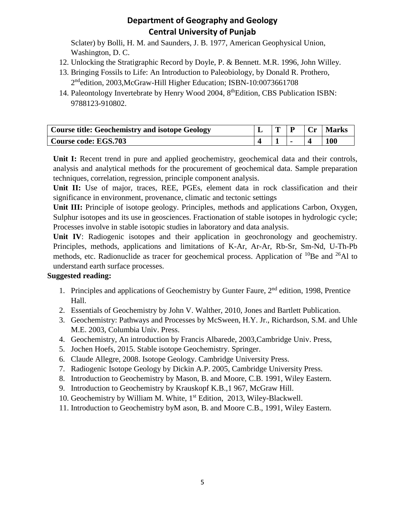Sclater) by Bolli, H. M. and Saunders, J. B. 1977, American Geophysical Union, Washington, D. C.

- 12. Unlocking the Stratigraphic Record by Doyle, P. & Bennett. M.R. 1996, John Willey.
- 13. Bringing Fossils to Life: An Introduction to Paleobiology, by Donald R. Prothero, 2<sup>nd</sup>edition, 2003, McGraw-Hill Higher Education; ISBN-10:0073661708
- 14. Paleontology Invertebrate by Henry Wood 2004, 8<sup>th</sup>Edition, CBS Publication ISBN: 9788123-910802.

| <b>Course title: Geochemistry and isotope Geology</b> | m | Cr | <b>Marks</b> |
|-------------------------------------------------------|---|----|--------------|
| <b>Course code: EGS.703</b>                           |   |    | <b>100</b>   |

Unit I: Recent trend in pure and applied geochemistry, geochemical data and their controls, analysis and analytical methods for the procurement of geochemical data. Sample preparation techniques, correlation, regression, principle component analysis.

**Unit II:** Use of major, traces, REE, PGEs, element data in rock classification and their significance in environment, provenance, climatic and tectonic settings

**Unit III:** Principle of isotope geology. Principles, methods and applications Carbon, Oxygen, Sulphur isotopes and its use in geosciences. Fractionation of stable isotopes in hydrologic cycle; Processes involve in stable isotopic studies in laboratory and data analysis.

**Unit IV**: Radiogenic isotopes and their application in geochronology and geochemistry. Principles, methods, applications and limitations of K-Ar, Ar-Ar, Rb-Sr, Sm-Nd, U-Th-Pb methods, etc. Radionuclide as tracer for geochemical process. Application of  $^{10}$ Be and  $^{26}$ Al to understand earth surface processes.

- 1. Principles and applications of Geochemistry by Gunter Faure, 2<sup>nd</sup> edition, 1998, Prentice Hall.
- 2. Essentials of Geochemistry by John V. Walther, 2010, Jones and Bartlett Publication.
- 3. Geochemistry: Pathways and Processes by McSween, H.Y. Jr., Richardson, S.M. and Uhle M.E. 2003, Columbia Univ. Press.
- 4. Geochemistry, An introduction by Francis Albarede, 2003,Cambridge Univ. Press,
- 5. Jochen Hoefs, 2015. Stable isotope Geochemistry. Springer.
- 6. Claude Allegre, 2008. Isotope Geology. Cambridge University Press.
- 7. Radiogenic Isotope Geology by Dickin A.P. 2005, Cambridge University Press.
- 8. Introduction to Geochemistry by Mason, B. and Moore, C.B. 1991, Wiley Eastern.
- 9. Introduction to Geochemistry by Krauskopf K.B.,1 967, McGraw Hill.
- 10. Geochemistry by William M. White, 1<sup>st</sup> Edition, 2013, Wiley-Blackwell.
- 11. Introduction to Geochemistry byM ason, B. and Moore C.B., 1991, Wiley Eastern.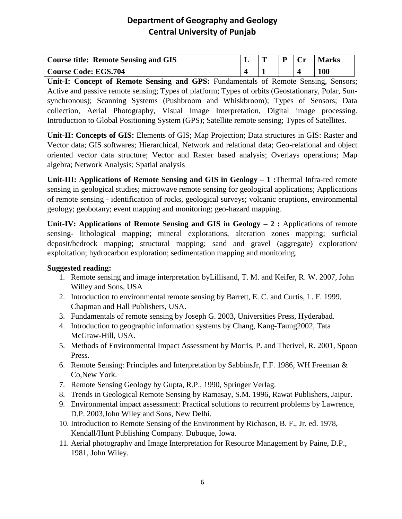| <b>Course title: Remote Sensing and GIS</b> | m | `r• | <b>Marks</b> |
|---------------------------------------------|---|-----|--------------|
| <b>Course Code: EGS.704</b>                 |   |     | 100          |

**Unit-I: Concept of Remote Sensing and GPS:** Fundamentals of Remote Sensing, Sensors; Active and passive remote sensing; Types of platform; Types of orbits (Geostationary, Polar, Sunsynchronous); Scanning Systems (Pushbroom and Whiskbroom); Types of Sensors; Data collection, Aerial Photography, Visual Image Interpretation, Digital image processing. Introduction to Global Positioning System (GPS); Satellite remote sensing; Types of Satellites.

**Unit-II: Concepts of GIS:** Elements of GIS; Map Projection; Data structures in GIS: Raster and Vector data; GIS softwares; Hierarchical, Network and relational data; Geo-relational and object oriented vector data structure; Vector and Raster based analysis; Overlays operations; Map algebra; Network Analysis; Spatial analysis

**Unit-III: Applications of Remote Sensing and GIS in Geology – 1 :**Thermal Infra-red remote sensing in geological studies; microwave remote sensing for geological applications; Applications of remote sensing - identification of rocks, geological surveys; volcanic eruptions, environmental geology; geobotany; event mapping and monitoring; geo-hazard mapping.

**Unit-IV: Applications of Remote Sensing and GIS in Geology – 2 :** Applications of remote sensing- lithological mapping; mineral explorations, alteration zones mapping; surficial deposit/bedrock mapping; structural mapping; sand and gravel (aggregate) exploration/ exploitation; hydrocarbon exploration; sedimentation mapping and monitoring.

- 1. Remote sensing and image interpretation byLillisand, T. M. and Keifer, R. W. 2007, John Willey and Sons, USA
- 2. Introduction to environmental remote sensing by Barrett, E. C. and Curtis, L. F. 1999, Chapman and Hall Publishers, USA.
- 3. Fundamentals of remote sensing by Joseph G. 2003, Universities Press, Hyderabad.
- 4. Introduction to geographic information systems by Chang, Kang-Taung2002, Tata McGraw-Hill, USA.
- 5. Methods of Environmental Impact Assessment by Morris, P. and Therivel, R. 2001, Spoon Press.
- 6. Remote Sensing: Principles and Interpretation by SabbinsJr, F.F. 1986, WH Freeman & Co,New York.
- 7. Remote Sensing Geology by Gupta, R.P., 1990, Springer Verlag.
- 8. Trends in Geological Remote Sensing by Ramasay, S.M. 1996, Rawat Publishers, Jaipur.
- 9. Environmental impact assessment: Practical solutions to recurrent problems by Lawrence, D.P. 2003,John Wiley and Sons, New Delhi.
- 10. Introduction to Remote Sensing of the Environment by Richason, B. F., Jr. ed. 1978, Kendall/Hunt Publishing Company. Dubuque, Iowa.
- 11. Aerial photography and Image Interpretation for Resource Management by Paine, D.P., 1981, John Wiley.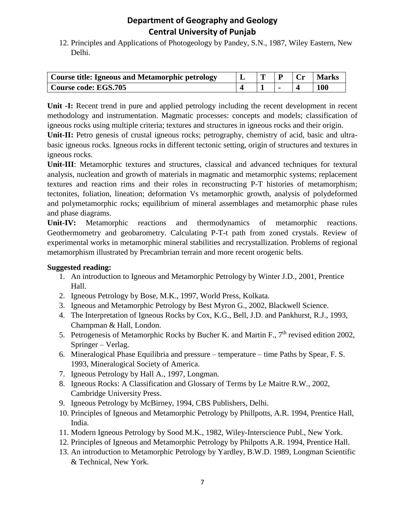12. Principles and Applications of Photogeology by Pandey, S.N., 1987, Wiley Eastern, New Delhi.

| Course title: Igneous and Metamorphic petrology | m |  | <b>Marks</b> |
|-------------------------------------------------|---|--|--------------|
| <b>Course code: EGS.705</b>                     |   |  | 100          |

**Unit -I:** Recent trend in pure and applied petrology including the recent development in recent methodology and instrumentation. Magmatic processes: concepts and models; classification of igneous rocks using multiple criteria; textures and structures in igneous rocks and their origin.

**Unit-II:** Petro genesis of crustal igneous rocks; petrography, chemistry of acid, basic and ultrabasic igneous rocks. Igneous rocks in different tectonic setting, origin of structures and textures in igneous rocks.

**Unit-III**: Metamorphic textures and structures, classical and advanced techniques for textural analysis, nucleation and growth of materials in magmatic and metamorphic systems; replacement textures and reaction rims and their roles in reconstructing P-T histories of metamorphism; tectonites, foliation, lineation; deformation Vs metamorphic growth, analysis of polydeformed and polymetamorphic rocks; equilibrium of mineral assemblages and metamorphic phase rules and phase diagrams.

**Unit-IV:** Metamorphic reactions and thermodynamics of metamorphic reactions. Geothermometry and geobarometry. Calculating P-T-t path from zoned crystals. Review of experimental works in metamorphic mineral stabilities and recrystallization. Problems of regional metamorphism illustrated by Precambrian terrain and more recent orogenic belts.

- 1. An introduction to Igneous and Metamorphic Petrology by Winter J.D., 2001, Prentice Hall.
- 2. Igneous Petrology by Bose, M.K., 1997, World Press, Kolkata.
- 3. Igneous and Metamorphic Petrology by Best Myron G., 2002, Blackwell Science.
- 4. The Interpretation of Igneous Rocks by Cox, K.G., Bell, J.D. and Pankhurst, R.J., 1993, Champman & Hall, London.
- 5. Petrogenesis of Metamorphic Rocks by Bucher K. and Martin F., 7<sup>th</sup> revised edition 2002, Springer – Verlag.
- 6. Mineralogical Phase Equilibria and pressure temperature time Paths by Spear, F. S. 1993, Mineralogical Society of America.
- 7. Igneous Petrology by Hall A., 1997, Longman.
- 8. Igneous Rocks: A Classification and Glossary of Terms by Le Maitre R.W., 2002, Cambridge University Press.
- 9. Igneous Petrology by McBirney, 1994, CBS Publishers, Delhi.
- 10. Principles of Igneous and Metamorphic Petrology by Phillpotts, A.R. 1994, Prentice Hall, India.
- 11. Modern Igneous Petrology by Sood M.K., 1982, Wiley-Interscience Publ., New York.
- 12. Principles of Igneous and Metamorphic Petrology by Philpotts A.R. 1994, Prentice Hall.
- 13. An introduction to Metamorphic Petrology by Yardley, B.W.D. 1989, Longman Scientific & Technical, New York.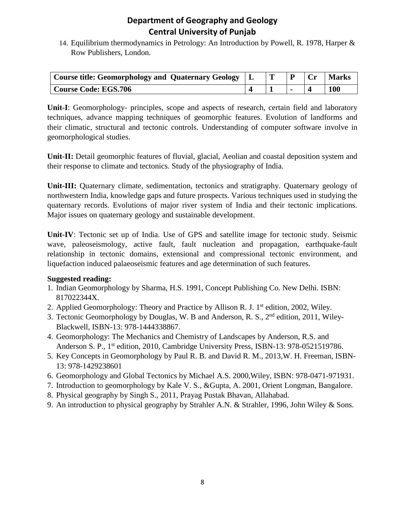14. Equilibrium thermodynamics in Petrology: An Introduction by Powell, R. 1978, Harper & Row Publishers, London.

| Course title: Geomorphology and Quaternary Geology   L |  |  | <b>Marks</b> |
|--------------------------------------------------------|--|--|--------------|
| <b>Course Code: EGS.706</b>                            |  |  | <b>100</b>   |

**Unit-I**: Geomorphology- principles, scope and aspects of research, certain field and laboratory techniques, advance mapping techniques of geomorphic features. Evolution of landforms and their climatic, structural and tectonic controls. Understanding of computer software involve in geomorphological studies.

Unit-II: Detail geomorphic features of fluvial, glacial, Aeolian and coastal deposition system and their response to climate and tectonics. Study of the physiography of India.

**Unit-III:** Quaternary climate, sedimentation, tectonics and stratigraphy. Quaternary geology of northwestern India, knowledge gaps and future prospects. Various techniques used in studying the quaternary records. Evolutions of major river system of India and their tectonic implications. Major issues on quaternary geology and sustainable development.

**Unit-IV**: Tectonic set up of India. Use of GPS and satellite image for tectonic study. Seismic wave, paleoseismology, active fault, fault nucleation and propagation, earthquake-fault relationship in tectonic domains, extensional and compressional tectonic environment, and liquefaction induced palaeoseismic features and age determination of such features.

- 1. Indian Geomorphology by Sharma, H.S. 1991, Concept Publishing Co. New Delhi. ISBN: 817022344X.
- 2. Applied Geomorphology: Theory and Practice by Allison R. J. 1<sup>st</sup> edition, 2002, Wiley.
- 3. Tectonic Geomorphology by Douglas, W. B and Anderson, R. S., 2<sup>nd</sup> edition, 2011, Wiley-Blackwell, ISBN-13: 978-1444338867.
- 4. Geomorphology: The Mechanics and Chemistry of Landscapes by Anderson, R.S. and Anderson S. P., 1<sup>st</sup> edition, 2010, Cambridge University Press, ISBN-13: 978-0521519786.
- 5. Key Concepts in Geomorphology by Paul R. B. and David R. M., 2013,W. H. Freeman, ISBN-13: 978-1429238601
- 6. Geomorphology and Global Tectonics by Michael A.S. 2000,Wiley, ISBN: 978-0471-971931.
- 7. Introduction to geomorphology by Kale V. S., &Gupta, A. 2001, Orient Longman, Bangalore.
- 8. Physical geography by Singh S., 2011, Prayag Pustak Bhavan, Allahabad.
- 9. An introduction to physical geography by Strahler A.N. & Strahler, 1996, John Wiley & Sons.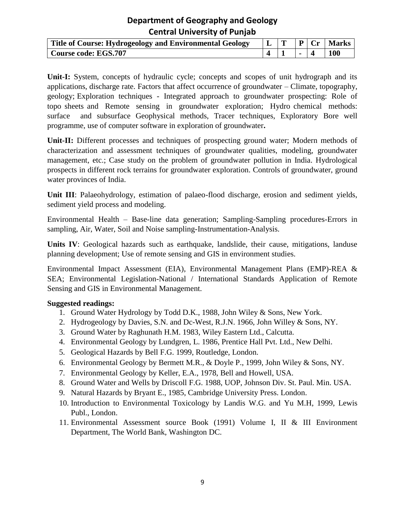| Title of Course: Hydrogeology and Environmental Geology |  |  | $\mid P \mid Cr \mid$ Marks |
|---------------------------------------------------------|--|--|-----------------------------|
| Course code: EGS.707                                    |  |  | 100                         |

**Unit-I:** System, concepts of hydraulic cycle; concepts and scopes of unit hydrograph and its applications, discharge rate. Factors that affect occurrence of groundwater – Climate, topography, geology; Exploration techniques - Integrated approach to groundwater prospecting: Role of topo sheets and Remote sensing in groundwater exploration; Hydro chemical methods: surface and subsurface Geophysical methods, Tracer techniques, Exploratory Bore well programme, use of computer software in exploration of groundwater**.** 

**Unit-II:** Different processes and techniques of prospecting ground water; Modern methods of characterization and assessment techniques of groundwater qualities, modeling, groundwater management, etc.; Case study on the problem of groundwater pollution in India. Hydrological prospects in different rock terrains for groundwater exploration. Controls of groundwater, ground water provinces of India.

**Unit III**: Palaeohydrology, estimation of palaeo-flood discharge, erosion and sediment yields, sediment yield process and modeling.

Environmental Health – Base-line data generation; Sampling-Sampling procedures-Errors in sampling, Air, Water, Soil and Noise sampling-Instrumentation-Analysis.

Units IV: Geological hazards such as earthquake, landslide, their cause, mitigations, landuse planning development; Use of remote sensing and GIS in environment studies.

Environmental Impact Assessment (EIA), Environmental Management Plans (EMP)-REA & SEA; Environmental Legislation-National / International Standards Application of Remote Sensing and GIS in Environmental Management.

- 1. Ground Water Hydrology by Todd D.K., 1988, John Wiley & Sons, New York.
- 2. Hydrogeology by Davies, S.N. and Dc-West, R.J.N. 1966, John Willey & Sons, NY.
- 3. Ground Water by Raghunath H.M. 1983, Wiley Eastern Ltd., Calcutta.
- 4. Environmental Geology by Lundgren, L. 1986, Prentice Hall Pvt. Ltd., New Delhi.
- 5. Geological Hazards by Bell F.G. 1999, Routledge, London.
- 6. Environmental Geology by Bermett M.R., & Doyle P., 1999, John Wiley & Sons, NY.
- 7. Environmental Geology by Keller, E.A., 1978, Bell and Howell, USA.
- 8. Ground Water and Wells by Driscoll F.G. 1988, UOP, Johnson Div. St. Paul. Min. USA.
- 9. Natural Hazards by Bryant E., 1985, Cambridge University Press. London.
- 10. Introduction to Environmental Toxicology by Landis W.G. and Yu M.H, 1999, Lewis Publ., London.
- 11. Environmental Assessment source Book (1991) Volume I, II & III Environment Department, The World Bank, Washington DC.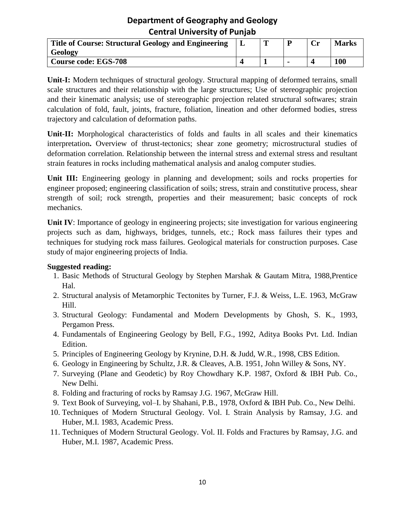| Title of Course: Structural Geology and Engineering | m | $\sim$<br>U | <b>Marks</b> |
|-----------------------------------------------------|---|-------------|--------------|
| Geology                                             |   |             |              |
| <b>Course code: EGS-708</b>                         |   |             | 100          |

**Unit-I:** Modern techniques of structural geology. Structural mapping of deformed terrains, small scale structures and their relationship with the large structures; Use of stereographic projection and their kinematic analysis; use of stereographic projection related structural softwares; strain calculation of fold, fault, joints, fracture, foliation, lineation and other deformed bodies, stress trajectory and calculation of deformation paths.

**Unit-II:** Morphological characteristics of folds and faults in all scales and their kinematics interpretation**.** Overview of thrust-tectonics; shear zone geometry; microstructural studies of deformation correlation. Relationship between the internal stress and external stress and resultant strain features in rocks including mathematical analysis and analog computer studies.

**Unit III:** Engineering geology in planning and development; soils and rocks properties for engineer proposed; engineering classification of soils; stress, strain and constitutive process, shear strength of soil; rock strength, properties and their measurement; basic concepts of rock mechanics.

**Unit IV**: Importance of geology in engineering projects; site investigation for various engineering projects such as dam, highways, bridges, tunnels, etc.; Rock mass failures their types and techniques for studying rock mass failures. Geological materials for construction purposes. Case study of major engineering projects of India.

- 1. Basic Methods of Structural Geology by Stephen Marshak & Gautam Mitra, 1988,Prentice Hal.
- 2. Structural analysis of Metamorphic Tectonites by Turner, F.J. & Weiss, L.E. 1963, McGraw Hill.
- 3. Structural Geology: Fundamental and Modern Developments by Ghosh, S. K., 1993, Pergamon Press.
- 4. Fundamentals of Engineering Geology by Bell, F.G., 1992, Aditya Books Pvt. Ltd. Indian Edition.
- 5. Principles of Engineering Geology by Krynine, D.H. & Judd, W.R., 1998, CBS Edition.
- 6. Geology in Engineering by Schultz, J.R. & Cleaves, A.B. 1951, John Willey & Sons, NY.
- 7. Surveying (Plane and Geodetic) by Roy Chowdhary K.P. 1987, Oxford & IBH Pub. Co., New Delhi.
- 8. Folding and fracturing of rocks by Ramsay J.G. 1967, McGraw Hill.
- 9. Text Book of Surveying, vol–I. by Shahani, P.B., 1978, Oxford & IBH Pub. Co., New Delhi.
- 10. Techniques of Modern Structural Geology. Vol. I. Strain Analysis by Ramsay, J.G. and Huber, M.I. 1983, Academic Press.
- 11. Techniques of Modern Structural Geology. Vol. II. Folds and Fractures by Ramsay, J.G. and Huber, M.I. 1987, Academic Press.